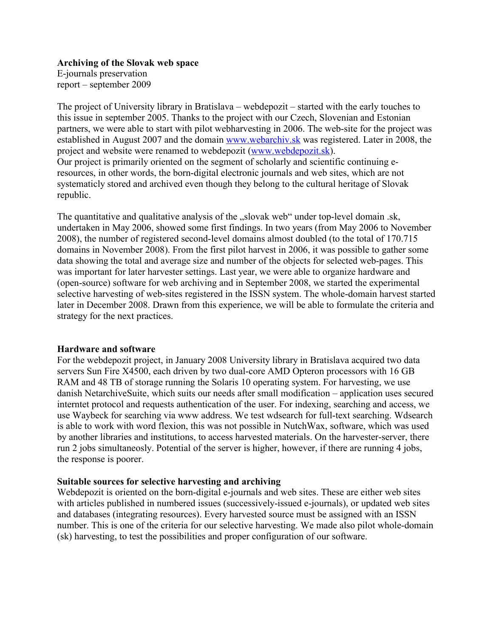**Archiving of the Slovak web space** E-journals preservation

report – september 2009

The project of University library in Bratislava – webdepozit – started with the early touches to this issue in september 2005. Thanks to the project with our Czech, Slovenian and Estonian partners, we were able to start with pilot webharvesting in 2006. The web-site for the project was established in August 2007 and the domain www.webarchiv.sk was registered. Later in 2008, the project and website were renamed to webdepozit (www.webdepozit.sk). Our project is primarily oriented on the segment of scholarly and scientific continuing eresources, in other words, the born-digital electronic journals and web sites, which are not systematicly stored and archived even though they belong to the cultural heritage of Slovak republic.

The quantitative and qualitative analysis of the "slovak web" under top-level domain .sk, undertaken in May 2006, showed some first findings. In two years (from May 2006 to November 2008), the number of registered second-level domains almost doubled (to the total of 170.715 domains in November 2008). From the first pilot harvest in 2006, it was possible to gather some data showing the total and average size and number of the objects for selected web-pages. This was important for later harvester settings. Last year, we were able to organize hardware and (open-source) software for web archiving and in September 2008, we started the experimental selective harvesting of web-sites registered in the ISSN system. The whole-domain harvest started later in December 2008. Drawn from this experience, we will be able to formulate the criteria and strategy for the next practices.

#### **Hardware and software**

For the webdepozit project, in January 2008 University library in Bratislava acquired two data servers Sun Fire X4500, each driven by two dual-core AMD Opteron processors with 16 GB RAM and 48 TB of storage running the Solaris 10 operating system. For harvesting, we use danish NetarchiveSuite, which suits our needs after small modification – application uses secured interntet protocol and requests authentication of the user. For indexing, searching and access, we use Waybeck for searching via www address. We test wdsearch for full-text searching. Wdsearch is able to work with word flexion, this was not possible in NutchWax, software, which was used by another libraries and institutions, to access harvested materials. On the harvester-server, there run 2 jobs simultaneosly. Potential of the server is higher, however, if there are running 4 jobs, the response is poorer.

## **Suitable sources for selective harvesting and archiving**

Webdepozit is oriented on the born-digital e-journals and web sites. These are either web sites with articles published in numbered issues (successively-issued e-journals), or updated web sites and databases (integrating resources). Every harvested source must be assigned with an ISSN number. This is one of the criteria for our selective harvesting. We made also pilot whole-domain (sk) harvesting, to test the possibilities and proper configuration of our software.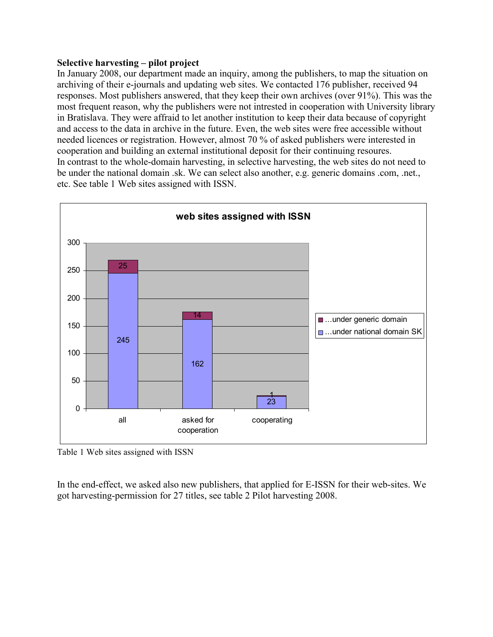### **Selective harvesting – pilot project**

In January 2008, our department made an inquiry, among the publishers, to map the situation on archiving of their e-journals and updating web sites. We contacted 176 publisher, received 94 responses. Most publishers answered, that they keep their own archives (over 91%). This was the most frequent reason, why the publishers were not intrested in cooperation with University library in Bratislava. They were affraid to let another institution to keep their data because of copyright and access to the data in archive in the future. Even, the web sites were free accessible without needed licences or registration. However, almost 70 % of asked publishers were interested in cooperation and building an external institutional deposit for their continuing resoures. In contrast to the whole-domain harvesting, in selective harvesting, the web sites do not need to be under the national domain .sk. We can select also another, e.g. generic domains .com, .net., etc. See table 1 Web sites assigned with ISSN.



Table 1 Web sites assigned with ISSN

In the end-effect, we asked also new publishers, that applied for E-ISSN for their web-sites. We got harvesting-permission for 27 titles, see table 2 Pilot harvesting 2008.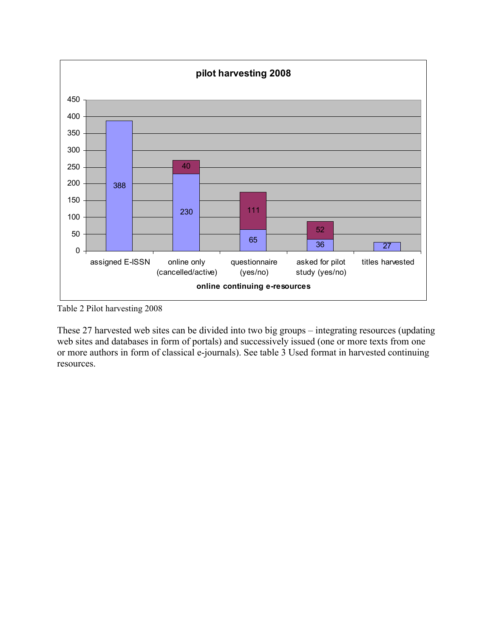

Table 2 Pilot harvesting 2008

These 27 harvested web sites can be divided into two big groups – integrating resources (updating web sites and databases in form of portals) and successively issued (one or more texts from one or more authors in form of classical e-journals). See table 3 Used format in harvested continuing resources.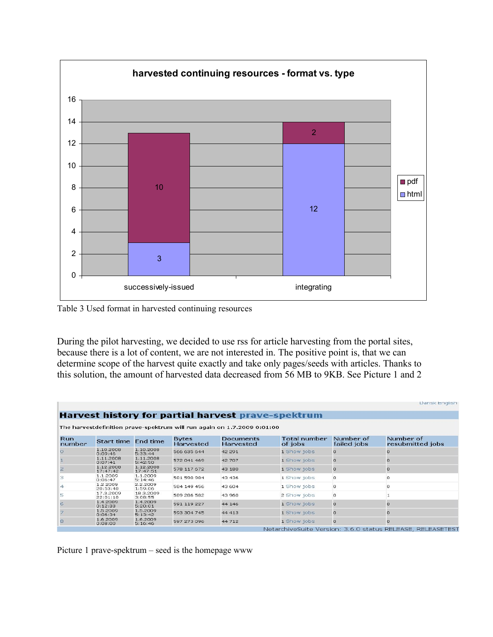

Table 3 Used format in harvested continuing resources

During the pilot harvesting, we decided to use rss for article harvesting from the portal sites, because there is a lot of content, we are not interested in. The positive point is, that we can determine scope of the harvest quite exactly and take only pages/seeds with articles. Thanks to this solution, the amount of harvested data decreased from 56 MB to 9KB. See Picture 1 and 2

|                                                                                                                               |                       |                       |             |          |             |          | Dansk English                                              |  |  |  |
|-------------------------------------------------------------------------------------------------------------------------------|-----------------------|-----------------------|-------------|----------|-------------|----------|------------------------------------------------------------|--|--|--|
| Harvest history for partial harvest prave-spektrum<br>The harvestdefinition prave-spektrum will run again on 1.7.2009 0:01:00 |                       |                       |             |          |             |          |                                                            |  |  |  |
|                                                                                                                               |                       |                       |             |          |             |          |                                                            |  |  |  |
|                                                                                                                               | 1.10.2008<br>0:09:46  | 1.10.2008<br>5:33:44  | 566 635 644 | 42 291   | 1 Show jobs | $\circ$  | n                                                          |  |  |  |
|                                                                                                                               | 1.11.2008<br>0:07:41  | 1,11,2008<br>5:42:50  | 572 041 469 | 42 707   | 1 Show jobs | $\circ$  | $\Omega$                                                   |  |  |  |
| 2                                                                                                                             | 1.12.2008<br>17:47:42 | 1.12.2008<br>17:47:51 | 578 117 672 | 43 180   | 1 Show jobs | $\circ$  | $\Omega$                                                   |  |  |  |
|                                                                                                                               | 1.1.2009<br>0:06:47   | 1.1.2009<br>5:14:46   | 581 590 984 | 43 436   | 1 Show jobs | $\circ$  | 0                                                          |  |  |  |
| $\overline{4}$                                                                                                                | 1.2.2009<br>20:53:40  | 2.2.2009<br>1:59:06   | 584 149 456 | 43 604   | 1 Show jobs | $\circ$  | $\Omega$                                                   |  |  |  |
| 5                                                                                                                             | 17.3.2009<br>22:01:10 | 18.3.2009<br>3:08:55  | 589 286 582 | 43 960   | 2 Show jobs | $\circ$  |                                                            |  |  |  |
| 6                                                                                                                             | 1.4.2009<br>0:12:33   | 1.4.2009<br>5:20:01   | 591 119 227 | 44 146   | 1 Show jobs | $\cup$   | $\Box$                                                     |  |  |  |
|                                                                                                                               | 1.5.2009<br>0:06:34   | 1.5.2009<br>5:13:42   | 593 304 745 | 44 413   | 1 Show jobs | $\Omega$ | n                                                          |  |  |  |
| 8                                                                                                                             | 1.6.2009<br>0:08:00   | 1.6.2009<br>5:16:46   | 597 273 096 | 44 7 1 2 | 1 Show jobs | $\circ$  | $\circ$                                                    |  |  |  |
|                                                                                                                               |                       |                       |             |          |             |          | NetarchiveSuite Version: 3.6.0 status RELEASE, RELEASETEST |  |  |  |

Picture 1 prave-spektrum – seed is the homepage www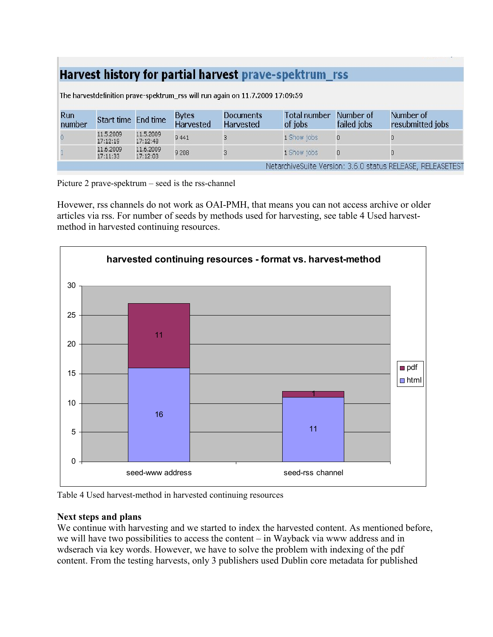# Harvest history for partial harvest prave-spektrum rss

| Run<br>number | Start time End time   |                       | <b>Bytes</b><br>Harvested | <b>Documents</b><br>Harvested | <b>Total number</b><br>of jobs | Number of<br>failed jobs | Number of<br>resubmitted jobs                              |
|---------------|-----------------------|-----------------------|---------------------------|-------------------------------|--------------------------------|--------------------------|------------------------------------------------------------|
|               | 11.5.2009<br>17:12:19 | 11.5.2009<br>17:12:48 | 9 4 4 1                   |                               | 1 Show jobs                    |                          |                                                            |
|               | 11.6.2009<br>17:11:33 | 11.6.2009<br>17:12:03 | 9 2 0 8                   |                               | 1 Show jobs                    |                          |                                                            |
|               |                       |                       |                           |                               |                                |                          | NetarchiveSuite Version: 3.6.0 status RELEASE, RELEASETEST |

The harvestdefinition prave-spektrum\_rss will run again on 11.7.2009 17:09:59

Picture 2 prave-spektrum – seed is the rss-channel

Hovewer, rss channels do not work as OAI-PMH, that means you can not access archive or older articles via rss. For number of seeds by methods used for harvesting, see table 4 Used harvestmethod in harvested continuing resources.



Table 4 Used harvest-method in harvested continuing resources

## **Next steps and plans**

We continue with harvesting and we started to index the harvested content. As mentioned before, we will have two possibilities to access the content – in Wayback via www address and in wdserach via key words. However, we have to solve the problem with indexing of the pdf content. From the testing harvests, only 3 publishers used Dublin core metadata for published